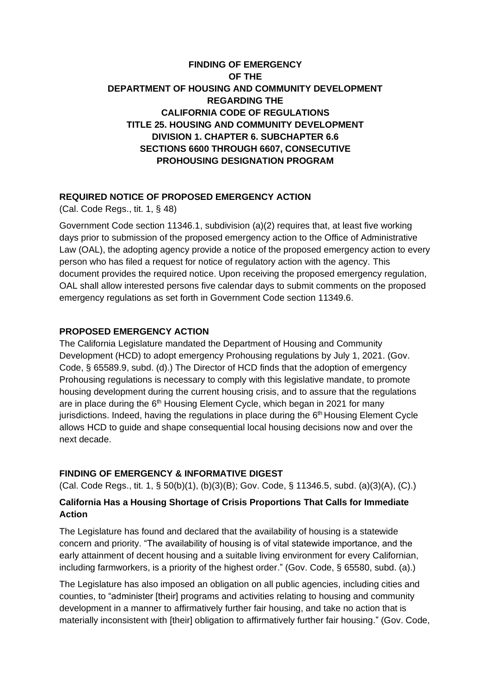# **FINDING OF EMERGENCY OF THE DEPARTMENT OF HOUSING AND COMMUNITY DEVELOPMENT REGARDING THE CALIFORNIA CODE OF REGULATIONS TITLE 25. HOUSING AND COMMUNITY DEVELOPMENT DIVISION 1. CHAPTER 6. SUBCHAPTER 6.6 SECTIONS 6600 THROUGH 6607, CONSECUTIVE PROHOUSING DESIGNATION PROGRAM**

#### **REQUIRED NOTICE OF PROPOSED EMERGENCY ACTION**

(Cal. Code Regs., tit. 1, § 48)

Government Code section 11346.1, subdivision (a)(2) requires that, at least five working days prior to submission of the proposed emergency action to the Office of Administrative Law (OAL), the adopting agency provide a notice of the proposed emergency action to every person who has filed a request for notice of regulatory action with the agency. This document provides the required notice. Upon receiving the proposed emergency regulation, OAL shall allow interested persons five calendar days to submit comments on the proposed emergency regulations as set forth in Government Code section 11349.6.

#### **PROPOSED EMERGENCY ACTION**

The California Legislature mandated the Department of Housing and Community Development (HCD) to adopt emergency Prohousing regulations by July 1, 2021. (Gov. Code, § 65589.9, subd. (d).) The Director of HCD finds that the adoption of emergency Prohousing regulations is necessary to comply with this legislative mandate, to promote housing development during the current housing crisis, and to assure that the regulations are in place during the  $6<sup>th</sup>$  Housing Element Cycle, which began in 2021 for many jurisdictions. Indeed, having the regulations in place during the 6<sup>th</sup> Housing Element Cycle allows HCD to guide and shape consequential local housing decisions now and over the next decade.

#### **FINDING OF EMERGENCY & INFORMATIVE DIGEST**

(Cal. Code Regs., tit. 1, § 50(b)(1), (b)(3)(B); Gov. Code, § 11346.5, subd. (a)(3)(A), (C).)

## **California Has a Housing Shortage of Crisis Proportions That Calls for Immediate Action**

The Legislature has found and declared that the availability of housing is a statewide concern and priority. "The availability of housing is of vital statewide importance, and the early attainment of decent housing and a suitable living environment for every Californian, including farmworkers, is a priority of the highest order." (Gov. Code, § 65580, subd. (a).)

The Legislature has also imposed an obligation on all public agencies, including cities and counties, to "administer [their] programs and activities relating to housing and community development in a manner to affirmatively further fair housing, and take no action that is materially inconsistent with [their] obligation to affirmatively further fair housing." (Gov. Code,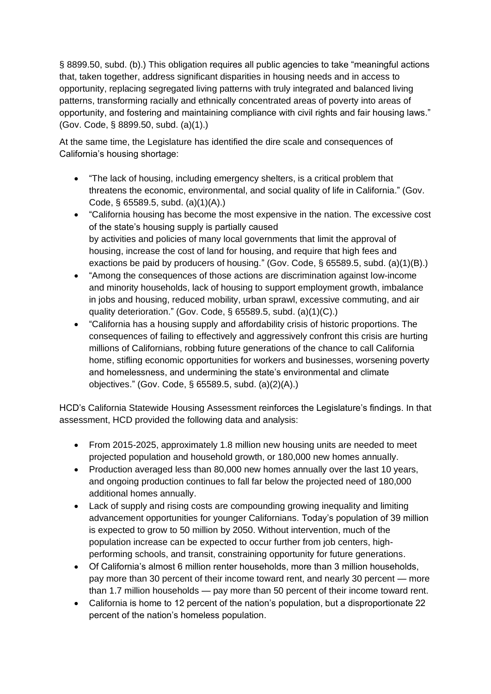§ 8899.50, subd. (b).) This obligation requires all public agencies to take "meaningful actions that, taken together, address significant disparities in housing needs and in access to opportunity, replacing segregated living patterns with truly integrated and balanced living patterns, transforming racially and ethnically concentrated areas of poverty into areas of opportunity, and fostering and maintaining compliance with civil rights and fair housing laws." (Gov. Code, § 8899.50, subd. (a)(1).)

At the same time, the Legislature has identified the dire scale and consequences of California's housing shortage:

- "The lack of housing, including emergency shelters, is a critical problem that threatens the economic, environmental, and social quality of life in California." (Gov. Code, § 65589.5, subd. (a)(1)(A).)
- "California housing has become the most expensive in the nation. The excessive cost of the state's housing supply is partially caused by activities and policies of many local governments that limit the approval of housing, increase the cost of land for housing, and require that high fees and exactions be paid by producers of housing." (Gov. Code, § 65589.5, subd. (a)(1)(B).)
- "Among the consequences of those actions are discrimination against low-income and minority households, lack of housing to support employment growth, imbalance in jobs and housing, reduced mobility, urban sprawl, excessive commuting, and air quality deterioration." (Gov. Code, § 65589.5, subd. (a)(1)(C).)
- "California has a housing supply and affordability crisis of historic proportions. The consequences of failing to effectively and aggressively confront this crisis are hurting millions of Californians, robbing future generations of the chance to call California home, stifling economic opportunities for workers and businesses, worsening poverty and homelessness, and undermining the state's environmental and climate objectives." (Gov. Code, § 65589.5, subd. (a)(2)(A).)

HCD's California Statewide Housing Assessment reinforces the Legislature's findings. In that assessment, HCD provided the following data and analysis:

- From 2015-2025, approximately 1.8 million new housing units are needed to meet projected population and household growth, or 180,000 new homes annually.
- Production averaged less than 80,000 new homes annually over the last 10 years, and ongoing production continues to fall far below the projected need of 180,000 additional homes annually.
- Lack of supply and rising costs are compounding growing inequality and limiting advancement opportunities for younger Californians. Today's population of 39 million is expected to grow to 50 million by 2050. Without intervention, much of the population increase can be expected to occur further from job centers, highperforming schools, and transit, constraining opportunity for future generations.
- Of California's almost 6 million renter households, more than 3 million households, pay more than 30 percent of their income toward rent, and nearly 30 percent — more than 1.7 million households — pay more than 50 percent of their income toward rent.
- California is home to 12 percent of the nation's population, but a disproportionate 22 percent of the nation's homeless population.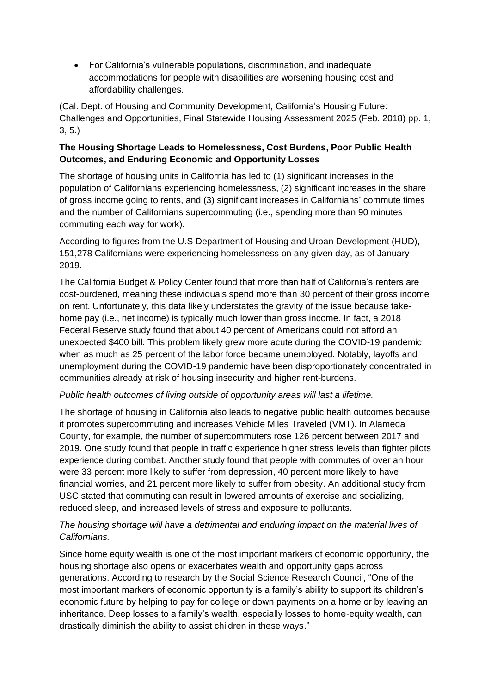• For California's vulnerable populations, discrimination, and inadequate accommodations for people with disabilities are worsening housing cost and affordability challenges.

(Cal. Dept. of Housing and Community Development, California's Housing Future: Challenges and Opportunities, Final Statewide Housing Assessment 2025 (Feb. 2018) pp. 1, 3, 5.)

## **The Housing Shortage Leads to Homelessness, Cost Burdens, Poor Public Health Outcomes, and Enduring Economic and Opportunity Losses**

The shortage of housing units in California has led to (1) significant increases in the population of Californians experiencing homelessness, (2) significant increases in the share of gross income going to rents, and (3) significant increases in Californians' commute times and the number of Californians supercommuting (i.e., spending more than 90 minutes commuting each way for work).

According to figures from the U.S Department of Housing and Urban Development (HUD), 151,278 Californians were experiencing homelessness on any given day, as of January 2019.

The California Budget & Policy Center found that more than half of California's renters are cost-burdened, meaning these individuals spend more than 30 percent of their gross income on rent. Unfortunately, this data likely understates the gravity of the issue because takehome pay (i.e., net income) is typically much lower than gross income. In fact, a 2018 Federal Reserve study found that about 40 percent of Americans could not afford an unexpected \$400 bill. This problem likely grew more acute during the COVID-19 pandemic, when as much as 25 percent of the labor force became unemployed. Notably, layoffs and unemployment during the COVID-19 pandemic have been disproportionately concentrated in communities already at risk of housing insecurity and higher rent-burdens.

## *Public health outcomes of living outside of opportunity areas will last a lifetime.*

The shortage of housing in California also leads to negative public health outcomes because it promotes supercommuting and increases Vehicle Miles Traveled (VMT). In Alameda County, for example, the number of supercommuters rose 126 percent between 2017 and 2019. One study found that people in traffic experience higher stress levels than fighter pilots experience during combat. Another study found that people with commutes of over an hour were 33 percent more likely to suffer from depression, 40 percent more likely to have financial worries, and 21 percent more likely to suffer from obesity. An additional study from USC stated that commuting can result in lowered amounts of exercise and socializing, reduced sleep, and increased levels of stress and exposure to pollutants.

## *The housing shortage will have a detrimental and enduring impact on the material lives of Californians.*

Since home equity wealth is one of the most important markers of economic opportunity, the housing shortage also opens or exacerbates wealth and opportunity gaps across generations. According to research by the Social Science Research Council, "One of the most important markers of economic opportunity is a family's ability to support its children's economic future by helping to pay for college or down payments on a home or by leaving an inheritance. Deep losses to a family's wealth, especially losses to home-equity wealth, can drastically diminish the ability to assist children in these ways."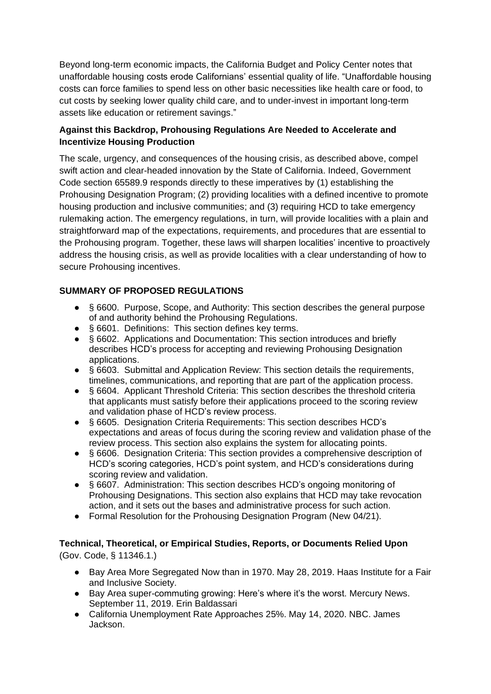Beyond long-term economic impacts, the California Budget and Policy Center notes that unaffordable housing costs erode Californians' essential quality of life. "Unaffordable housing costs can force families to spend less on other basic necessities like health care or food, to cut costs by seeking lower quality child care, and to under-invest in important long-term assets like education or retirement savings."

## **Against this Backdrop, Prohousing Regulations Are Needed to Accelerate and Incentivize Housing Production**

The scale, urgency, and consequences of the housing crisis, as described above, compel swift action and clear-headed innovation by the State of California. Indeed, Government Code section 65589.9 responds directly to these imperatives by (1) establishing the Prohousing Designation Program; (2) providing localities with a defined incentive to promote housing production and inclusive communities; and (3) requiring HCD to take emergency rulemaking action. The emergency regulations, in turn, will provide localities with a plain and straightforward map of the expectations, requirements, and procedures that are essential to the Prohousing program. Together, these laws will sharpen localities' incentive to proactively address the housing crisis, as well as provide localities with a clear understanding of how to secure Prohousing incentives.

## **SUMMARY OF PROPOSED REGULATIONS**

- § 6600. Purpose, Scope, and Authority: This section describes the general purpose of and authority behind the Prohousing Regulations.
- § 6601. Definitions: This section defines key terms.
- § 6602. Applications and Documentation: This section introduces and briefly describes HCD's process for accepting and reviewing Prohousing Designation applications.
- § 6603. Submittal and Application Review: This section details the requirements, timelines, communications, and reporting that are part of the application process.
- § 6604. Applicant Threshold Criteria: This section describes the threshold criteria that applicants must satisfy before their applications proceed to the scoring review and validation phase of HCD's review process.
- § 6605. Designation Criteria Requirements: This section describes HCD's expectations and areas of focus during the scoring review and validation phase of the review process. This section also explains the system for allocating points.
- § 6606. Designation Criteria: This section provides a comprehensive description of HCD's scoring categories, HCD's point system, and HCD's considerations during scoring review and validation.
- § 6607. Administration: This section describes HCD's ongoing monitoring of Prohousing Designations. This section also explains that HCD may take revocation action, and it sets out the bases and administrative process for such action.
- Formal Resolution for the Prohousing Designation Program (New 04/21).

**Technical, Theoretical, or Empirical Studies, Reports, or Documents Relied Upon** (Gov. Code, § 11346.1.)

- Bay Area More Segregated Now than in 1970. May 28, 2019. Haas Institute for a Fair and Inclusive Society.
- Bay Area super-commuting growing: Here's where it's the worst. Mercury News. September 11, 2019. Erin Baldassari
- California Unemployment Rate Approaches 25%. May 14, 2020. NBC. James Jackson.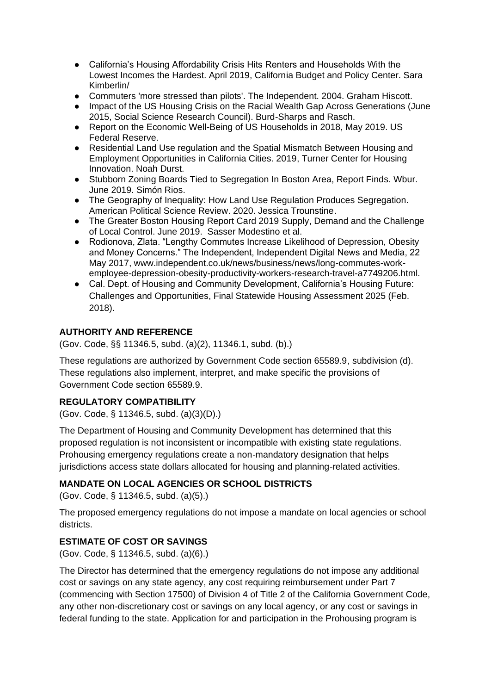- California's Housing Affordability Crisis Hits Renters and Households With the Lowest Incomes the Hardest. April 2019, California Budget and Policy Center. Sara Kimberlin/
- [Commuters 'more stressed than pilots'. The Independent. 2004. Graham Hiscott.](https://www.independent.co.uk/life-style/health-and-families/health-news/commuters-more-stressed-than-pilots-535076.html)<br>● Impact of the US Housing Crisis on the Racial Wealth Gap Across Generations (J
- Impact of the US Housing Crisis on the Racial Wealth Gap Across Generations (June 2015, Social Science Research Council). Burd-Sharps and Rasch.
- [Report on the Economic Well-Being of US Households in 2018, May 2019. US](https://www.federalreserve.gov/publications/files/2018-report-economic-well-being-us-households-201905.pdf)  [Federal Reserve.](https://www.federalreserve.gov/publications/files/2018-report-economic-well-being-us-households-201905.pdf)
- [Residential Land Use regulation and the Spatial Mismatch Between Housing and](https://ternercenter.berkeley.edu/blog/residential-land-use-regulation-spatial-mismatch)  [Employment Opportunities in California Cities. 2019, Turner Center for Housing](https://ternercenter.berkeley.edu/blog/residential-land-use-regulation-spatial-mismatch)  [Innovation. Noah Durst.](https://ternercenter.berkeley.edu/blog/residential-land-use-regulation-spatial-mismatch)
- Stubborn Zoning Boards Tied to Segregation In Boston Area, Report Finds. Wbur. June 2019. Simón Rios.
- [The Geography of Inequality: How Land Use Regulation Produces Segregation.](https://www.cambridge.org/core/services/aop-cambridge-core/content/view/BAB4ABDF014670550615CE670FF66016/S0003055419000844a.pdf/geography_of_inequality_how_land_use_regulation_produces_segregation.pdf)  [American Political Science Review. 2020. Jessica Trounstine.](https://www.cambridge.org/core/services/aop-cambridge-core/content/view/BAB4ABDF014670550615CE670FF66016/S0003055419000844a.pdf/geography_of_inequality_how_land_use_regulation_produces_segregation.pdf)
- The Greater Boston Housing Report Card 2019 Supply, Demand and the Challenge of Local Control. June 2019. Sasser Modestino et al.
- Rodionova, Zlata. "Lengthy Commutes Increase Likelihood of Depression, Obesity and Money Concerns." The Independent, Independent Digital News and Media, 22 May 2017, www.independent.co.uk/news/business/news/long-commutes-workemployee-depression-obesity-productivity-workers-research-travel-a7749206.html.
- Cal. Dept. of Housing and Community Development, California's Housing Future: Challenges and Opportunities, Final Statewide Housing Assessment 2025 (Feb. 2018).

## **AUTHORITY AND REFERENCE**

(Gov. Code, §§ 11346.5, subd. (a)(2), 11346.1, subd. (b).)

These regulations are authorized by Government Code section 65589.9, subdivision (d). These regulations also implement, interpret, and make specific the provisions of Government Code section 65589.9.

## **REGULATORY COMPATIBILITY**

(Gov. Code, § 11346.5, subd. (a)(3)(D).)

The Department of Housing and Community Development has determined that this proposed regulation is not inconsistent or incompatible with existing state regulations. Prohousing emergency regulations create a non-mandatory designation that helps jurisdictions access state dollars allocated for housing and planning-related activities.

## **MANDATE ON LOCAL AGENCIES OR SCHOOL DISTRICTS**

(Gov. Code, § 11346.5, subd. (a)(5).)

The proposed emergency regulations do not impose a mandate on local agencies or school districts.

## **ESTIMATE OF COST OR SAVINGS**

(Gov. Code, § 11346.5, subd. (a)(6).)

The Director has determined that the emergency regulations do not impose any additional cost or savings on any state agency, any cost requiring reimbursement under Part 7 (commencing with Section 17500) of Division 4 of Title 2 of the California Government Code, any other non-discretionary cost or savings on any local agency, or any cost or savings in federal funding to the state. Application for and participation in the Prohousing program is